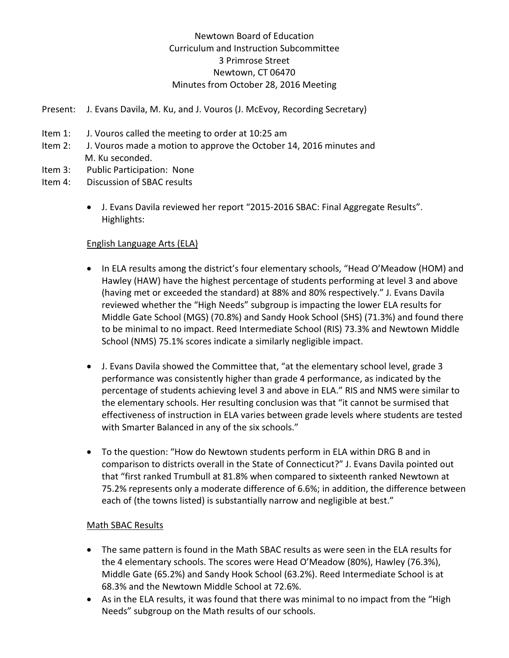# Newtown Board of Education Curriculum and Instruction Subcommittee 3 Primrose Street Newtown, CT 06470 Minutes from October 28, 2016 Meeting

- Present: J. Evans Davila, M. Ku, and J. Vouros (J. McEvoy, Recording Secretary)
- Item 1: J. Vouros called the meeting to order at 10:25 am
- Item 2: J. Vouros made a motion to approve the October 14, 2016 minutes and M. Ku seconded.
- Item 3: Public Participation: None
- Item 4: Discussion of SBAC results
	- J. Evans Davila reviewed her report "2015-2016 SBAC: Final Aggregate Results". Highlights:

#### English Language Arts (ELA)

- In ELA results among the district's four elementary schools, "Head O'Meadow (HOM) and Hawley (HAW) have the highest percentage of students performing at level 3 and above (having met or exceeded the standard) at 88% and 80% respectively." J. Evans Davila reviewed whether the "High Needs" subgroup is impacting the lower ELA results for Middle Gate School (MGS) (70.8%) and Sandy Hook School (SHS) (71.3%) and found there to be minimal to no impact. Reed Intermediate School (RIS) 73.3% and Newtown Middle School (NMS) 75.1% scores indicate a similarly negligible impact.
- J. Evans Davila showed the Committee that, "at the elementary school level, grade 3 performance was consistently higher than grade 4 performance, as indicated by the percentage of students achieving level 3 and above in ELA." RIS and NMS were similar to the elementary schools. Her resulting conclusion was that "it cannot be surmised that effectiveness of instruction in ELA varies between grade levels where students are tested with Smarter Balanced in any of the six schools."
- To the question: "How do Newtown students perform in ELA within DRG B and in comparison to districts overall in the State of Connecticut?" J. Evans Davila pointed out that "first ranked Trumbull at 81.8% when compared to sixteenth ranked Newtown at 75.2% represents only a moderate difference of 6.6%; in addition, the difference between each of (the towns listed) is substantially narrow and negligible at best."

#### Math SBAC Results

- The same pattern is found in the Math SBAC results as were seen in the ELA results for the 4 elementary schools. The scores were Head O'Meadow (80%), Hawley (76.3%), Middle Gate (65.2%) and Sandy Hook School (63.2%). Reed Intermediate School is at 68.3% and the Newtown Middle School at 72.6%.
- As in the ELA results, it was found that there was minimal to no impact from the "High Needs" subgroup on the Math results of our schools.